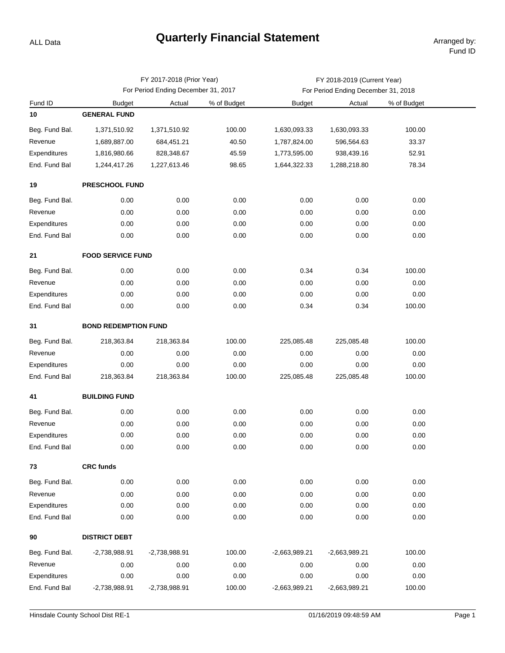## **Quarterly Financial Statement Arranged by:**

ALL Data

|                |                                     | FY 2017-2018 (Prior Year) |             | FY 2018-2019 (Current Year)         |                 |             |  |  |  |  |
|----------------|-------------------------------------|---------------------------|-------------|-------------------------------------|-----------------|-------------|--|--|--|--|
|                | For Period Ending December 31, 2017 |                           |             | For Period Ending December 31, 2018 |                 |             |  |  |  |  |
| Fund ID        | <b>Budget</b>                       | Actual                    | % of Budget | <b>Budget</b>                       | Actual          | % of Budget |  |  |  |  |
| 10             | <b>GENERAL FUND</b>                 |                           |             |                                     |                 |             |  |  |  |  |
| Beg. Fund Bal. | 1,371,510.92                        | 1,371,510.92              | 100.00      | 1,630,093.33                        | 1,630,093.33    | 100.00      |  |  |  |  |
| Revenue        | 1,689,887.00                        | 684,451.21                | 40.50       | 1,787,824.00                        | 596,564.63      | 33.37       |  |  |  |  |
| Expenditures   | 1,816,980.66                        | 828,348.67                | 45.59       | 1,773,595.00                        | 938,439.16      | 52.91       |  |  |  |  |
| End. Fund Bal  | 1,244,417.26                        | 1,227,613.46              | 98.65       | 1,644,322.33                        | 1,288,218.80    | 78.34       |  |  |  |  |
| 19             | PRESCHOOL FUND                      |                           |             |                                     |                 |             |  |  |  |  |
| Beg. Fund Bal. | 0.00                                | 0.00                      | 0.00        | 0.00                                | 0.00            | 0.00        |  |  |  |  |
| Revenue        | 0.00                                | 0.00                      | 0.00        | 0.00                                | 0.00            | 0.00        |  |  |  |  |
| Expenditures   | 0.00                                | 0.00                      | 0.00        | 0.00                                | 0.00            | 0.00        |  |  |  |  |
| End. Fund Bal  | 0.00                                | 0.00                      | 0.00        | 0.00                                | 0.00            | 0.00        |  |  |  |  |
| 21             | <b>FOOD SERVICE FUND</b>            |                           |             |                                     |                 |             |  |  |  |  |
| Beg. Fund Bal. | 0.00                                | 0.00                      | 0.00        | 0.34                                | 0.34            | 100.00      |  |  |  |  |
| Revenue        | 0.00                                | 0.00                      | 0.00        | 0.00                                | 0.00            | 0.00        |  |  |  |  |
| Expenditures   | 0.00                                | 0.00                      | 0.00        | 0.00                                | 0.00            | 0.00        |  |  |  |  |
| End. Fund Bal  | 0.00                                | 0.00                      | 0.00        | 0.34                                | 0.34            | 100.00      |  |  |  |  |
| 31             | <b>BOND REDEMPTION FUND</b>         |                           |             |                                     |                 |             |  |  |  |  |
| Beg. Fund Bal. | 218,363.84                          | 218,363.84                | 100.00      | 225,085.48                          | 225,085.48      | 100.00      |  |  |  |  |
| Revenue        | 0.00                                | 0.00                      | 0.00        | 0.00                                | 0.00            | 0.00        |  |  |  |  |
| Expenditures   | 0.00                                | 0.00                      | 0.00        | 0.00                                | 0.00            | 0.00        |  |  |  |  |
| End. Fund Bal  | 218,363.84                          | 218,363.84                | 100.00      | 225,085.48                          | 225,085.48      | 100.00      |  |  |  |  |
| 41             | <b>BUILDING FUND</b>                |                           |             |                                     |                 |             |  |  |  |  |
| Beg. Fund Bal. | 0.00                                | 0.00                      | 0.00        | 0.00                                | 0.00            | 0.00        |  |  |  |  |
| Revenue        | 0.00                                | 0.00                      | 0.00        | 0.00                                | 0.00            | 0.00        |  |  |  |  |
| Expenditures   | 0.00                                | 0.00                      | 0.00        | 0.00                                | 0.00            | 0.00        |  |  |  |  |
| End. Fund Bal  | 0.00                                | 0.00                      | 0.00        | 0.00                                | 0.00            | 0.00        |  |  |  |  |
| 73             | <b>CRC funds</b>                    |                           |             |                                     |                 |             |  |  |  |  |
| Beg. Fund Bal. | 0.00                                | 0.00                      | 0.00        | 0.00                                | 0.00            | 0.00        |  |  |  |  |
| Revenue        | 0.00                                | 0.00                      | 0.00        | 0.00                                | 0.00            | 0.00        |  |  |  |  |
| Expenditures   | 0.00                                | 0.00                      | 0.00        | 0.00                                | 0.00            | 0.00        |  |  |  |  |
| End. Fund Bal  | 0.00                                | 0.00                      | 0.00        | 0.00                                | 0.00            | 0.00        |  |  |  |  |
| 90             | <b>DISTRICT DEBT</b>                |                           |             |                                     |                 |             |  |  |  |  |
| Beg. Fund Bal. | -2,738,988.91                       | $-2,738,988.91$           | 100.00      | $-2,663,989.21$                     | $-2,663,989.21$ | 100.00      |  |  |  |  |
| Revenue        | 0.00                                | 0.00                      | 0.00        | 0.00                                | 0.00            | 0.00        |  |  |  |  |
| Expenditures   | 0.00                                | 0.00                      | 0.00        | 0.00                                | 0.00            | 0.00        |  |  |  |  |
| End. Fund Bal  | -2,738,988.91                       | $-2,738,988.91$           | 100.00      | $-2,663,989.21$                     | $-2,663,989.21$ | 100.00      |  |  |  |  |